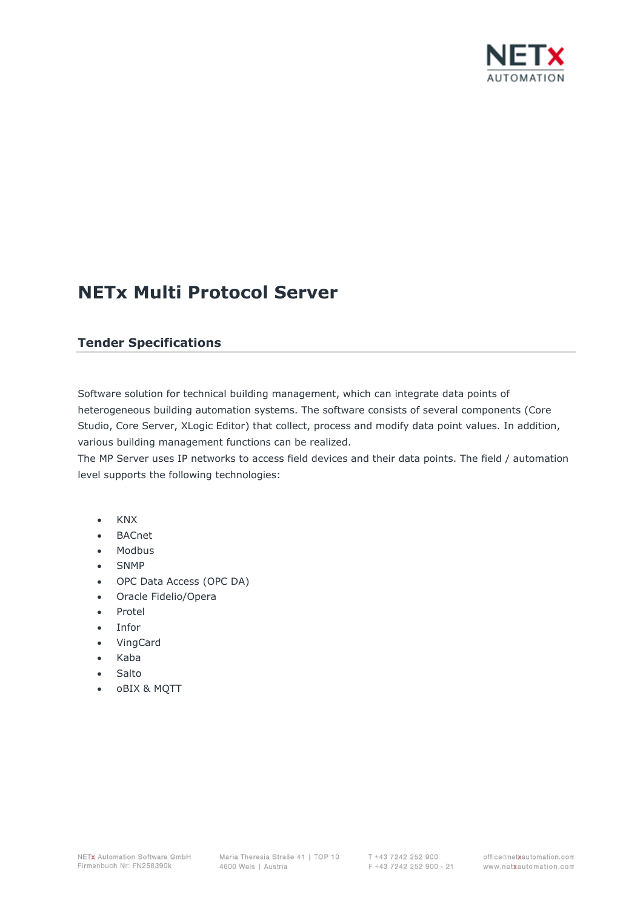

# **NETx Multi Protocol Server**

## **Tender Specifications**

Software solution for technical building management, which can integrate data points of heterogeneous building automation systems. The software consists of several components (Core Studio, Core Server, XLogic Editor) that collect, process and modify data point values. In addition, various building management functions can be realized.

The MP Server uses IP networks to access field devices and their data points. The field / automation level supports the following technologies:

- KNX
- **BACnet**
- Modbus
- SNMP
- OPC Data Access (OPC DA)
- Oracle Fidelio/Opera
- Protel
- Infor
- VingCard
- Kaba
- Salto
- oBIX & MQTT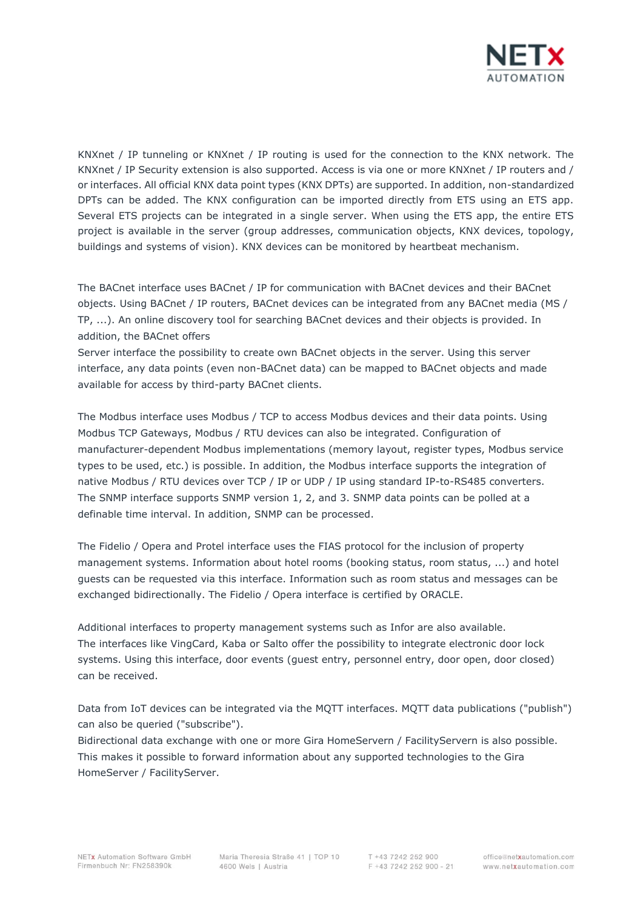

KNXnet / IP tunneling or KNXnet / IP routing is used for the connection to the KNX network. The KNXnet / IP Security extension is also supported. Access is via one or more KNXnet / IP routers and / or interfaces. All official KNX data point types (KNX DPTs) are supported. In addition, non-standardized DPTs can be added. The KNX configuration can be imported directly from ETS using an ETS app. Several ETS projects can be integrated in a single server. When using the ETS app, the entire ETS project is available in the server (group addresses, communication objects, KNX devices, topology, buildings and systems of vision). KNX devices can be monitored by heartbeat mechanism.

The BACnet interface uses BACnet / IP for communication with BACnet devices and their BACnet objects. Using BACnet / IP routers, BACnet devices can be integrated from any BACnet media (MS / TP, ...). An online discovery tool for searching BACnet devices and their objects is provided. In addition, the BACnet offers

Server interface the possibility to create own BACnet objects in the server. Using this server interface, any data points (even non-BACnet data) can be mapped to BACnet objects and made available for access by third-party BACnet clients.

The Modbus interface uses Modbus / TCP to access Modbus devices and their data points. Using Modbus TCP Gateways, Modbus / RTU devices can also be integrated. Configuration of manufacturer-dependent Modbus implementations (memory layout, register types, Modbus service types to be used, etc.) is possible. In addition, the Modbus interface supports the integration of native Modbus / RTU devices over TCP / IP or UDP / IP using standard IP-to-RS485 converters. The SNMP interface supports SNMP version 1, 2, and 3. SNMP data points can be polled at a definable time interval. In addition, SNMP can be processed.

The Fidelio / Opera and Protel interface uses the FIAS protocol for the inclusion of property management systems. Information about hotel rooms (booking status, room status, ...) and hotel guests can be requested via this interface. Information such as room status and messages can be exchanged bidirectionally. The Fidelio / Opera interface is certified by ORACLE.

Additional interfaces to property management systems such as Infor are also available. The interfaces like VingCard, Kaba or Salto offer the possibility to integrate electronic door lock systems. Using this interface, door events (guest entry, personnel entry, door open, door closed) can be received.

Data from IoT devices can be integrated via the MQTT interfaces. MQTT data publications ("publish") can also be queried ("subscribe").

Bidirectional data exchange with one or more Gira HomeServern / FacilityServern is also possible. This makes it possible to forward information about any supported technologies to the Gira HomeServer / FacilityServer.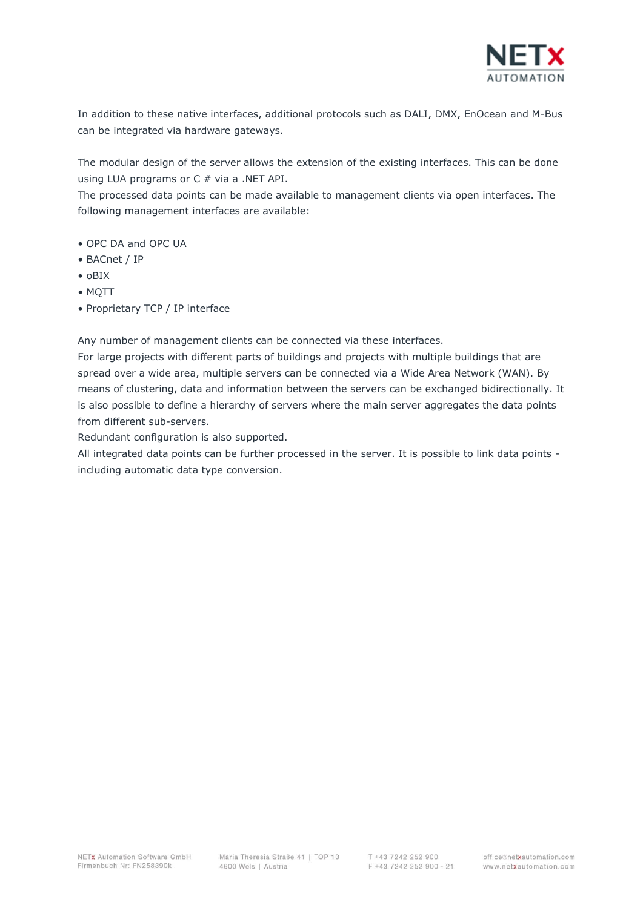

In addition to these native interfaces, additional protocols such as DALI, DMX, EnOcean and M-Bus can be integrated via hardware gateways.

The modular design of the server allows the extension of the existing interfaces. This can be done using LUA programs or C # via a .NET API.

The processed data points can be made available to management clients via open interfaces. The following management interfaces are available:

- OPC DA and OPC UA
- BACnet / IP
- oBIX
- MQTT
- Proprietary TCP / IP interface

Any number of management clients can be connected via these interfaces.

For large projects with different parts of buildings and projects with multiple buildings that are spread over a wide area, multiple servers can be connected via a Wide Area Network (WAN). By means of clustering, data and information between the servers can be exchanged bidirectionally. It is also possible to define a hierarchy of servers where the main server aggregates the data points from different sub-servers.

Redundant configuration is also supported.

All integrated data points can be further processed in the server. It is possible to link data points including automatic data type conversion.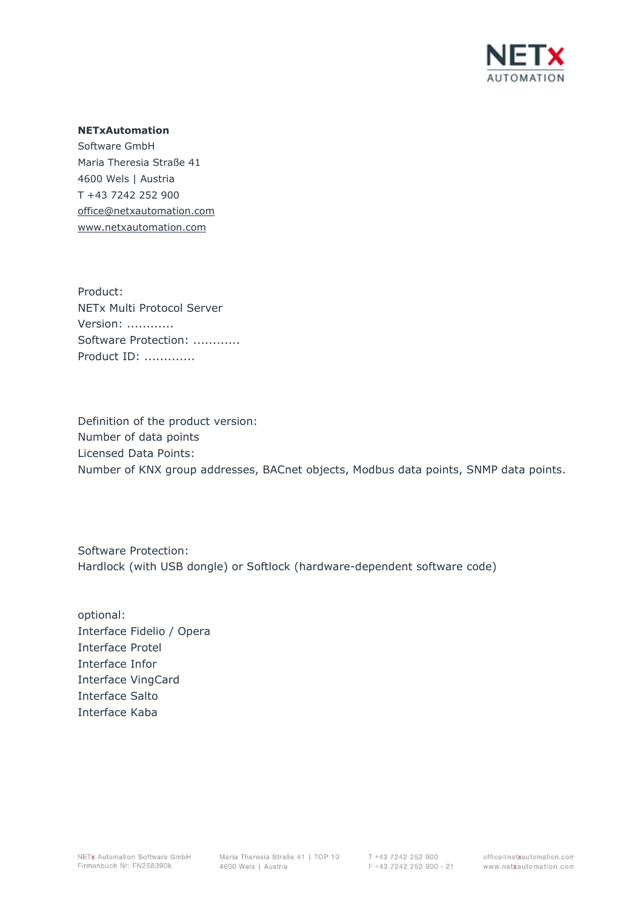

#### **NETxAutomation**

Software GmbH Maria Theresia Straße 41 4600 Wels | Austria T +43 7242 252 900 office@netxautomation.com www.netxautomation.com

Product: NETx Multi Protocol Server Version: ............ Software Protection: ............ Product ID: .............

Definition of the product version: Number of data points Licensed Data Points: Number of KNX group addresses, BACnet objects, Modbus data points, SNMP data points.

Software Protection: Hardlock (with USB dongle) or Softlock (hardware-dependent software code)

optional: Interface Fidelio / Opera Interface Protel Interface Infor Interface VingCard Interface Salto Interface Kaba